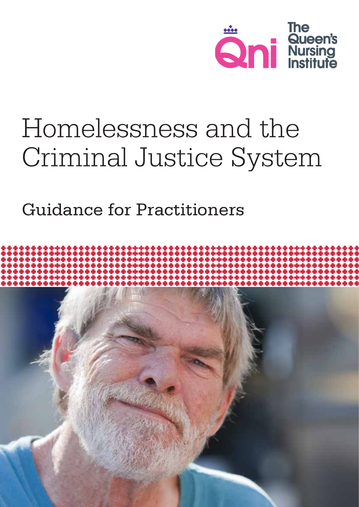

# Homelessness and the Criminal Justice System

Guidance for Practitioners

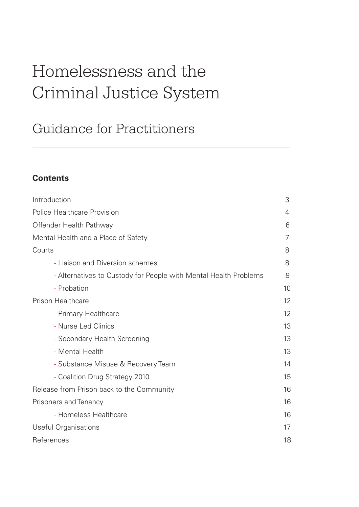# Homelessness and the Criminal Justice System

# Guidance for Practitioners

# **Contents**

| Introduction                                                     | 3  |
|------------------------------------------------------------------|----|
| <b>Police Healthcare Provision</b>                               | 4  |
| Offender Health Pathway                                          | 6  |
| Mental Health and a Place of Safety                              | 7  |
| Courts                                                           | 8  |
| - Liaison and Diversion schemes                                  | 8  |
| - Alternatives to Custody for People with Mental Health Problems | 9  |
| - Probation                                                      | 10 |
| <b>Prison Healthcare</b>                                         | 12 |
| - Primary Healthcare                                             | 12 |
| - Nurse Led Clinics                                              | 13 |
| - Secondary Health Screening                                     | 13 |
| - Mental Health                                                  | 13 |
| - Substance Misuse & Recovery Team                               | 14 |
| - Coalition Drug Strategy 2010                                   | 15 |
| Release from Prison back to the Community                        | 16 |
| Prisoners and Tenancy                                            | 16 |
| - Homeless Healthcare                                            | 16 |
| <b>Useful Organisations</b>                                      | 17 |
| References                                                       | 18 |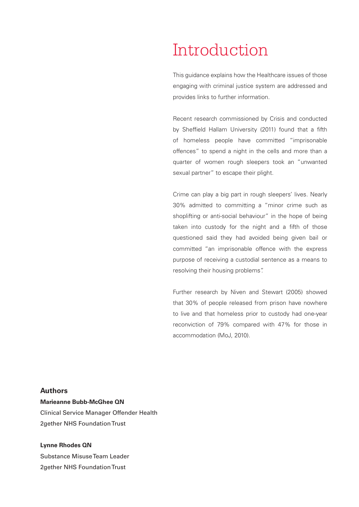# Introduction

This guidance explains how the Healthcare issues of those engaging with criminal justice system are addressed and provides links to further information.

Recent research commissioned by Crisis and conducted by Sheffield Hallam University (2011) found that a fifth of homeless people have committed "imprisonable offences" to spend a night in the cells and more than a quarter of women rough sleepers took an "unwanted sexual partner" to escape their plight.

Crime can play a big part in rough sleepers' lives. Nearly 30% admitted to committing a "minor crime such as shoplifting or anti-social behaviour" in the hope of being taken into custody for the night and a fifth of those questioned said they had avoided being given bail or committed "an imprisonable offence with the express purpose of receiving a custodial sentence as a means to resolving their housing problems".

Further research by Niven and Stewart (2005) showed that 30% of people released from prison have nowhere to live and that homeless prior to custody had one-year reconviction of 79% compared with 47% for those in accommodation (MoJ, 2010).

#### **Authors**

**Marieanne Bubb-McGhee QN** Clinical Service Manager Offender Health 2gether NHS Foundation Trust

#### **Lynne Rhodes QN** Substance Misuse Team Leader

2gether NHS Foundation Trust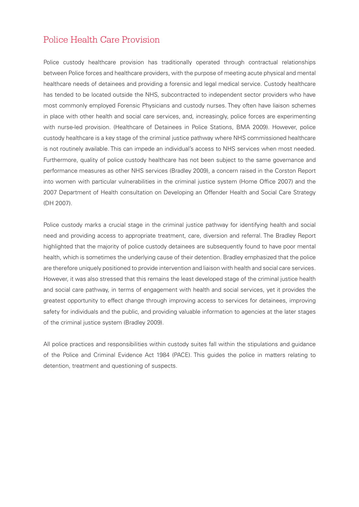### Police Health Care Provision

Police custody healthcare provision has traditionally operated through contractual relationships between Police forces and healthcare providers, with the purpose of meeting acute physical and mental healthcare needs of detainees and providing a forensic and legal medical service. Custody healthcare has tended to be located outside the NHS, subcontracted to independent sector providers who have most commonly employed Forensic Physicians and custody nurses. They often have liaison schemes in place with other health and social care services, and, increasingly, police forces are experimenting with nurse-led provision. (Healthcare of Detainees in Police Stations, BMA 2009). However, police custody healthcare is a key stage of the criminal justice pathway where NHS commissioned healthcare is not routinely available. This can impede an individual's access to NHS services when most needed. Furthermore, quality of police custody healthcare has not been subject to the same governance and performance measures as other NHS services (Bradley 2009), a concern raised in the Corston Report into women with particular vulnerabilities in the criminal justice system (Home Office 2007) and the 2007 Department of Health consultation on Developing an Offender Health and Social Care Strategy (DH 2007).

Police custody marks a crucial stage in the criminal justice pathway for identifying health and social need and providing access to appropriate treatment, care, diversion and referral. The Bradley Report highlighted that the majority of police custody detainees are subsequently found to have poor mental health, which is sometimes the underlying cause of their detention. Bradley emphasized that the police are therefore uniquely positioned to provide intervention and liaison with health and social care services. However, it was also stressed that this remains the least developed stage of the criminal justice health and social care pathway, in terms of engagement with health and social services, yet it provides the greatest opportunity to effect change through improving access to services for detainees, improving safety for individuals and the public, and providing valuable information to agencies at the later stages of the criminal justice system (Bradley 2009).

All police practices and responsibilities within custody suites fall within the stipulations and guidance of the Police and Criminal Evidence Act 1984 (PACE). This guides the police in matters relating to detention, treatment and questioning of suspects.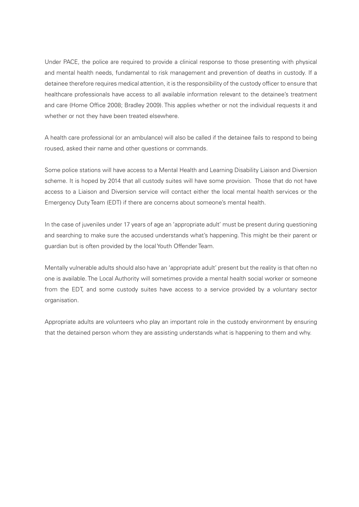Under PACE, the police are required to provide a clinical response to those presenting with physical and mental health needs, fundamental to risk management and prevention of deaths in custody. If a detainee therefore requires medical attention, it is the responsibility of the custody officer to ensure that healthcare professionals have access to all available information relevant to the detainee's treatment and care (Home Office 2008; Bradley 2009). This applies whether or not the individual requests it and whether or not they have been treated elsewhere.

A health care professional (or an ambulance) will also be called if the detainee fails to respond to being roused, asked their name and other questions or commands.

Some police stations will have access to a Mental Health and Learning Disability Liaison and Diversion scheme. It is hoped by 2014 that all custody suites will have some provision. Those that do not have access to a Liaison and Diversion service will contact either the local mental health services or the Emergency Duty Team (EDT) if there are concerns about someone's mental health.

In the case of juveniles under 17 years of age an 'appropriate adult' must be present during questioning and searching to make sure the accused understands what's happening. This might be their parent or guardian but is often provided by the local Youth Offender Team.

Mentally vulnerable adults should also have an 'appropriate adult' present but the reality is that often no one is available. The Local Authority will sometimes provide a mental health social worker or someone from the EDT, and some custody suites have access to a service provided by a voluntary sector organisation.

Appropriate adults are volunteers who play an important role in the custody environment by ensuring that the detained person whom they are assisting understands what is happening to them and why.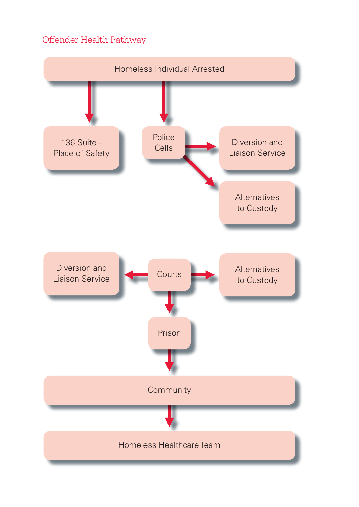# Offender Health Pathway

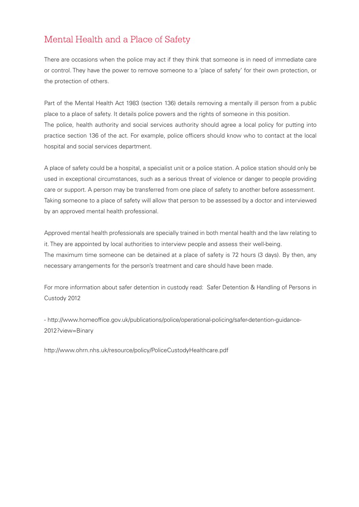# Mental Health and a Place of Safety

There are occasions when the police may act if they think that someone is in need of immediate care or control. They have the power to remove someone to a 'place of safety' for their own protection, or the protection of others.

Part of the Mental Health Act 1983 (section 136) details removing a mentally ill person from a public place to a place of safety. It details police powers and the rights of someone in this position. The police, health authority and social services authority should agree a local policy for putting into practice section 136 of the act. For example, police officers should know who to contact at the local hospital and social services department.

A place of safety could be a hospital, a specialist unit or a police station. A police station should only be used in exceptional circumstances, such as a serious threat of violence or danger to people providing care or support. A person may be transferred from one place of safety to another before assessment. Taking someone to a place of safety will allow that person to be assessed by a doctor and interviewed by an approved mental health professional.

Approved mental health professionals are specially trained in both mental health and the law relating to it. They are appointed by local authorities to interview people and assess their well-being. The maximum time someone can be detained at a place of safety is 72 hours (3 days). By then, any necessary arrangements for the person's treatment and care should have been made.

For more information about safer detention in custody read: Safer Detention & Handling of Persons in Custody 2012

- <http://www.homeoffice.gov.uk/publications/police/operational-policing/safer>-detention-guidance-2012?view=Binary

<http://www.ohrn.nhs.uk/resource/policy/PoliceCustodyHealthcare.pdf>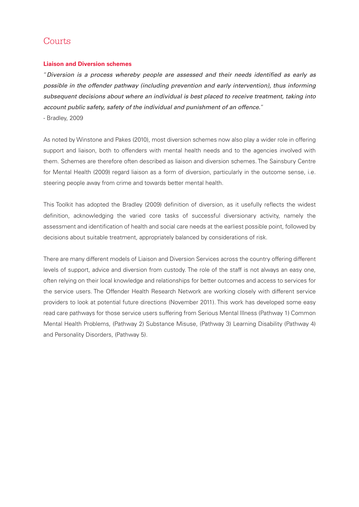### **Courts**

#### **Liaison and Diversion schemes**

"*Diversion is a process whereby people are assessed and their needs identified as early as possible in the offender pathway (including prevention and early intervention), thus informing subsequent decisions about where an individual is best placed to receive treatment, taking into account public safety, safety of the individual and punishment of an offence.*" - Bradley, 2009

As noted by Winstone and Pakes (2010), most diversion schemes now also play a wider role in offering support and liaison, both to offenders with mental health needs and to the agencies involved with them. Schemes are therefore often described as liaison and diversion schemes. The Sainsbury Centre for Mental Health (2009) regard liaison as a form of diversion, particularly in the outcome sense, i.e. steering people away from crime and towards better mental health.

This Toolkit has adopted the Bradley (2009) definition of diversion, as it usefully reflects the widest definition, acknowledging the varied core tasks of successful diversionary activity, namely the assessment and identification of health and social care needs at the earliest possible point, followed by decisions about suitable treatment, appropriately balanced by considerations of risk.

There are many different models of Liaison and Diversion Services across the country offering different levels of support, advice and diversion from custody. The role of the staff is not always an easy one, often relying on their local knowledge and relationships for better outcomes and access to services for the service users. The Offender Health Research Network are working closely with different service providers to look at potential future directions (November 2011). This work has developed some easy read care pathways for those service users suffering from Serious Mental Illness (Pathway 1) Common Mental Health Problems, (Pathway 2) Substance Misuse, (Pathway 3) Learning Disability (Pathway 4) and Personality Disorders, (Pathway 5).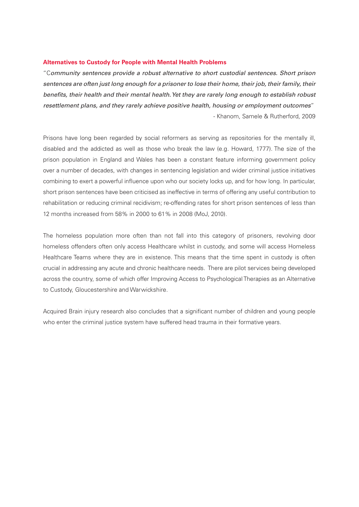#### **Alternatives to Custody for People with Mental Health Problems**

"C*ommunity sentences provide a robust alternative to short custodial sentences. Short prison sentences are often just long enough for a prisoner to lose their home, their job, their family, their benefits, their health and their mental health. Yet they are rarely long enough to establish robust resettlement plans, and they rarely achieve positive health, housing or employment outcomes*" - Khanom, Samele & Rutherford, 2009

Prisons have long been regarded by social reformers as serving as repositories for the mentally ill, disabled and the addicted as well as those who break the law (e.g. Howard, 1777). The size of the prison population in England and Wales has been a constant feature informing government policy over a number of decades, with changes in sentencing legislation and wider criminal justice initiatives combining to exert a powerful influence upon who our society locks up, and for how long. In particular, short prison sentences have been criticised as ineffective in terms of offering any useful contribution to rehabilitation or reducing criminal recidivism; re-offending rates for short prison sentences of less than 12 months increased from 58% in 2000 to 61% in 2008 (MoJ, 2010).

The homeless population more often than not fall into this category of prisoners, revolving door homeless offenders often only access Healthcare whilst in custody, and some will access Homeless Healthcare Teams where they are in existence. This means that the time spent in custody is often crucial in addressing any acute and chronic healthcare needs. There are pilot services being developed across the country, some of which offer Improving Access to Psychological Therapies as an Alternative to Custody, Gloucestershire and Warwickshire.

Acquired Brain injury research also concludes that a significant number of children and young people who enter the criminal justice system have suffered head trauma in their formative years.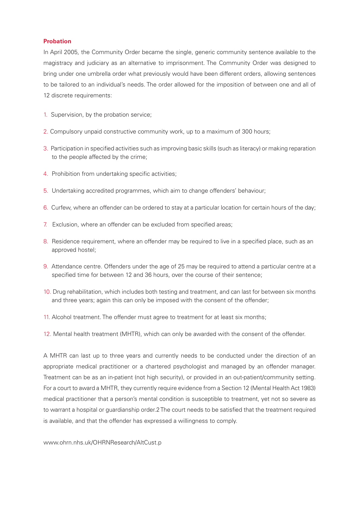#### **Probation**

In April 2005, the Community Order became the single, generic community sentence available to the magistracy and judiciary as an alternative to imprisonment. The Community Order was designed to bring under one umbrella order what previously would have been different orders, allowing sentences to be tailored to an individual's needs. The order allowed for the imposition of between one and all of 12 discrete requirements:

- 1. Supervision, by the probation service;
- 2. Compulsory unpaid constructive community work, up to a maximum of 300 hours;
- 3. Participation in specified activities such as improving basic skills (such as literacy) or making reparation to the people affected by the crime;
- 4. Prohibition from undertaking specific activities;
- 5. Undertaking accredited programmes, which aim to change offenders' behaviour;
- 6. Curfew, where an offender can be ordered to stay at a particular location for certain hours of the day;
- 7. Exclusion, where an offender can be excluded from specified areas;
- 8. Residence requirement, where an offender may be required to live in a specified place, such as an approved hostel;
- 9. Attendance centre. Offenders under the age of 25 may be required to attend a particular centre at a specified time for between 12 and 36 hours, over the course of their sentence;
- 10. Drug rehabilitation, which includes both testing and treatment, and can last for between six months and three years; again this can only be imposed with the consent of the offender;
- 11. Alcohol treatment. The offender must agree to treatment for at least six months;
- 12. Mental health treatment (MHTR), which can only be awarded with the consent of the offender.

A MHTR can last up to three years and currently needs to be conducted under the direction of an appropriate medical practitioner or a chartered psychologist and managed by an offender manager. Treatment can be as an in-patient (not high security), or provided in an out-patient/community setting. For a court to award a MHTR, they currently require evidence from a Section 12 (Mental Health Act 1983) medical practitioner that a person's mental condition is susceptible to treatment, yet not so severe as to warrant a hospital or guardianship order.2 The court needs to be satisfied that the treatment required is available, and that the offender has expressed a willingness to comply.

<www.ohrn.nhs.uk/OHRNResearch/AltCust>.p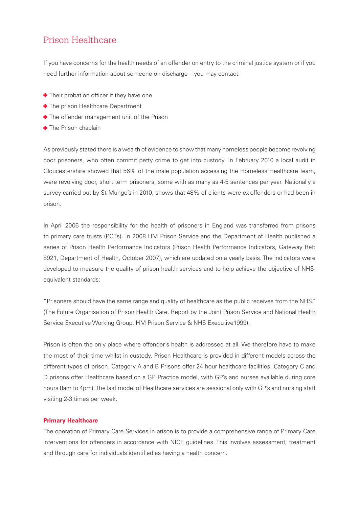### Prison Healthcare

If you have concerns for the health needs of an offender on entry to the criminal justice system or if you need further information about someone on discharge – you may contact:

- **+** Their probation officer if they have one
- **The prison Healthcare Department**
- **+** The offender management unit of the Prison
- **The Prison chaplain**

As previously stated there is a wealth of evidence to show that many homeless people become revolving door prisoners, who often commit petty crime to get into custody. In February 2010 a local audit in Gloucestershire showed that 56% of the male population accessing the Homeless Healthcare Team, were revolving door, short term prisoners, some with as many as 4-5 sentences per year. Nationally a survey carried out by St Mungo's in 2010, shows that 48% of clients were ex-offenders or had been in prison.

In April 2006 the responsibility for the health of prisoners in England was transferred from prisons to primary care trusts (PCTs). In 2008 HM Prison Service and the Department of Health published a series of Prison Health Performance Indicators (Prison Health Performance Indicators, Gateway Ref: 8921, Department of Health, October 2007), which are updated on a yearly basis. The indicators were developed to measure the quality of prison health services and to help achieve the objective of NHSequivalent standards:

"Prisoners should have the same range and quality of healthcare as the public receives from the NHS." (The Future Organisation of Prison Health Care. Report by the Joint Prison Service and National Health Service Executive Working Group, HM Prison Service & NHS Executive1999).

Prison is often the only place where offender's health is addressed at all. We therefore have to make the most of their time whilst in custody. Prison Healthcare is provided in different models across the different types of prison. Category A and B Prisons offer 24 hour healthcare facilities. Category C and D prisons offer Healthcare based on a GP Practice model, with GP's and nurses available during core hours 8am to 4pm). The last model of Healthcare services are sessional only with GP's and nursing staff visiting 2-3 times per week.

#### **Primary Healthcare**

The operation of Primary Care Services in prison is to provide a comprehensive range of Primary Care interventions for offenders in accordance with NICE guidelines. This involves assessment, treatment and through care for individuals identified as having a health concern.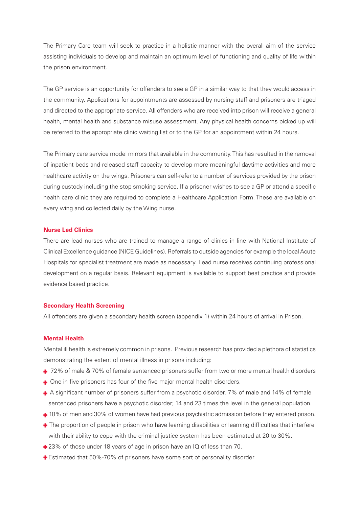The Primary Care team will seek to practice in a holistic manner with the overall aim of the service assisting individuals to develop and maintain an optimum level of functioning and quality of life within the prison environment.

The GP service is an opportunity for offenders to see a GP in a similar way to that they would access in the community. Applications for appointments are assessed by nursing staff and prisoners are triaged and directed to the appropriate service. All offenders who are received into prison will receive a general health, mental health and substance misuse assessment. Any physical health concerns picked up will be referred to the appropriate clinic waiting list or to the GP for an appointment within 24 hours.

The Primary care service model mirrors that available in the community. This has resulted in the removal of inpatient beds and released staff capacity to develop more meaningful daytime activities and more healthcare activity on the wings. Prisoners can self-refer to a number of services provided by the prison during custody including the stop smoking service. If a prisoner wishes to see a GP or attend a specific health care clinic they are required to complete a Healthcare Application Form. These are available on every wing and collected daily by the Wing nurse.

#### **Nurse Led Clinics**

There are lead nurses who are trained to manage a range of clinics in line with National Institute of Clinical Excellence guidance (NICE Guidelines). Referrals to outside agencies for example the local Acute Hospitals for specialist treatment are made as necessary. Lead nurse receives continuing professional development on a regular basis. Relevant equipment is available to support best practice and provide evidence based practice.

#### **Secondary Health Screening**

All offenders are given a secondary health screen (appendix 1) within 24 hours of arrival in Prison.

#### **Mental Health**

Mental ill health is extremely common in prisons. Previous research has provided a plethora of statistics demonstrating the extent of mental illness in prisons including:

- + 72% of male & 70% of female sentenced prisoners suffer from two or more mental health disorders
- One in five prisoners has four of the five major mental health disorders.
- A significant number of prisoners suffer from a psychotic disorder. 7% of male and 14% of female sentenced prisoners have a psychotic disorder; 14 and 23 times the level in the general population.
- $\div$  10% of men and 30% of women have had previous psychiatric admission before they entered prison.
- $\bullet$  The proportion of people in prison who have learning disabilities or learning difficulties that interfere with their ability to cope with the criminal justice system has been estimated at 20 to 30%.
- $\triangleq$  23% of those under 18 years of age in prison have an IQ of less than 70.
- Estimated that 50%-70% of prisoners have some sort of personality disorder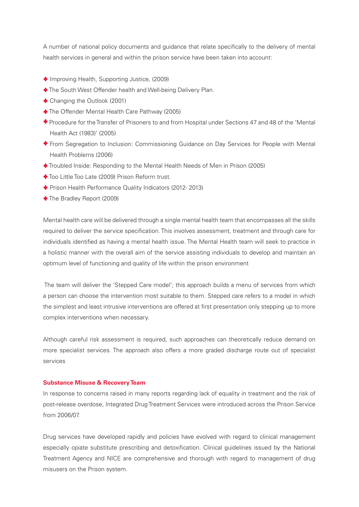A number of national policy documents and guidance that relate specifically to the delivery of mental health services in general and within the prison service have been taken into account:

- Improving Health, Supporting Justice, (2009)
- **The South West Offender health and Well-being Delivery Plan.**
- Changing the Outlook (2001)
- The Offender Mental Health Care Pathway (2005)
- Procedure for the Transfer of Prisoners to and from Hospital under Sections 47 and 48 of the 'Mental Health Act (1983)' (2005)
- From Segregation to Inclusion: Commissioning Guidance on Day Services for People with Mental Health Problems (2006)
- Troubled Inside: Responding to the Mental Health Needs of Men in Prison (2005)
- Too Little Too Late (2009) Prison Reform trust.
- **+** Prison Health Performance Quality Indicators (2012-2013)
- The Bradley Report (2009)

Mental health care will be delivered through a single mental health team that encompasses all the skills required to deliver the service specification. This involves assessment, treatment and through care for individuals identified as having a mental health issue. The Mental Health team will seek to practice in a holistic manner with the overall aim of the service assisting individuals to develop and maintain an optimum level of functioning and quality of life within the prison environment

 The team will deliver the 'Stepped Care model'; this approach builds a menu of services from which a person can choose the intervention most suitable to them. Stepped care refers to a model in which the simplest and least intrusive interventions are offered at first presentation only stepping up to more complex interventions when necessary.

Although careful risk assessment is required, such approaches can theoretically reduce demand on more specialist services. The approach also offers a more graded discharge route out of specialist services

#### **Substance Misuse & Recovery Team**

In response to concerns raised in many reports regarding lack of equality in treatment and the risk of post-release overdose, Integrated Drug Treatment Services were introduced across the Prison Service from 2006/07.

Drug services have developed rapidly and policies have evolved with regard to clinical management especially opiate substitute prescribing and detoxification. Clinical guidelines issued by the National Treatment Agency and NICE are comprehensive and thorough with regard to management of drug misusers on the Prison system.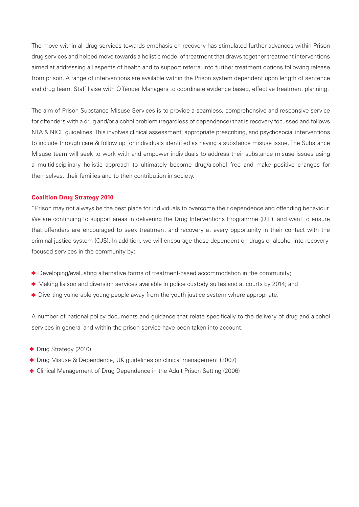The move within all drug services towards emphasis on recovery has stimulated further advances within Prison drug services and helped move towards a holistic model of treatment that draws together treatment interventions aimed at addressing all aspects of health and to support referral into further treatment options following release from prison. A range of interventions are available within the Prison system dependent upon length of sentence and drug team. Staff liaise with Offender Managers to coordinate evidence based, effective treatment planning.

The aim of Prison Substance Misuse Services is to provide a seamless, comprehensive and responsive service for offenders with a drug and/or alcohol problem (regardless of dependence) that is recovery focussed and follows NTA & NICE guidelines. This involves clinical assessment, appropriate prescribing, and psychosocial interventions to include through care & follow up for individuals identified as having a substance misuse issue. The Substance Misuse team will seek to work with and empower individuals to address their substance misuse issues using a multidisciplinary holistic approach to ultimately become drug/alcohol free and make positive changes for themselves, their families and to their contribution in society.

#### **Coalition Drug Strategy 2010**

"Prison may not always be the best place for individuals to overcome their dependence and offending behaviour. We are continuing to support areas in delivering the Drug Interventions Programme (DIP), and want to ensure that offenders are encouraged to seek treatment and recovery at every opportunity in their contact with the criminal justice system (CJS). In addition, we will encourage those dependent on drugs or alcohol into recoveryfocused services in the community by:

- Developing/evaluating alternative forms of treatment-based accommodation in the community;
- $\bullet$  Making liaison and diversion services available in police custody suites and at courts by 2014; and
- **Diverting vulnerable young people away from the youth justice system where appropriate.**

A number of national policy documents and guidance that relate specifically to the delivery of drug and alcohol services in general and within the prison service have been taken into account.

- Drug Strategy (2010)
- $\bullet$  Drug Misuse & Dependence, UK guidelines on clinical management (2007)
- Clinical Management of Drug Dependence in the Adult Prison Setting (2006)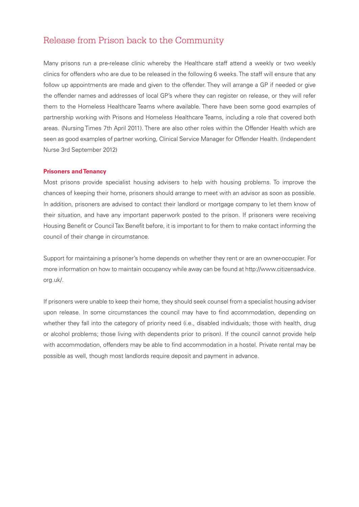### Release from Prison back to the Community

Many prisons run a pre-release clinic whereby the Healthcare staff attend a weekly or two weekly clinics for offenders who are due to be released in the following 6 weeks. The staff will ensure that any follow up appointments are made and given to the offender. They will arrange a GP if needed or give the offender names and addresses of local GP's where they can register on release, or they will refer them to the Homeless Healthcare Teams where available. There have been some good examples of partnership working with Prisons and Homeless Healthcare Teams, including a role that covered both areas. (Nursing Times 7th April 2011). There are also other roles within the Offender Health which are seen as good examples of partner working, Clinical Service Manager for Offender Health. (Independent Nurse 3rd September 2012)

#### **Prisoners and Tenancy**

Most prisons provide specialist housing advisers to help with housing problems. To improve the chances of keeping their home, prisoners should arrange to meet with an advisor as soon as possible. In addition, prisoners are advised to contact their landlord or mortgage company to let them know of their situation, and have any important paperwork posted to the prison. If prisoners were receiving Housing Benefit or Council Tax Benefit before, it is important to for them to make contact informing the council of their change in circumstance.

Support for maintaining a prisoner's home depends on whether they rent or are an owner-occupier. For more information on how to maintain occupancy while away can be found at [http://www.citizensadvice.](http://www.citizensadvice.org.uk) [org.uk/](http://www.citizensadvice.org.uk).

If prisoners were unable to keep their home, they should seek counsel from a specialist housing adviser upon release. In some circumstances the council may have to find accommodation, depending on whether they fall into the category of priority need (i.e., disabled individuals; those with health, drug or alcohol problems; those living with dependents prior to prison). If the council cannot provide help with accommodation, offenders may be able to find accommodation in a hostel. Private rental may be possible as well, though most landlords require deposit and payment in advance.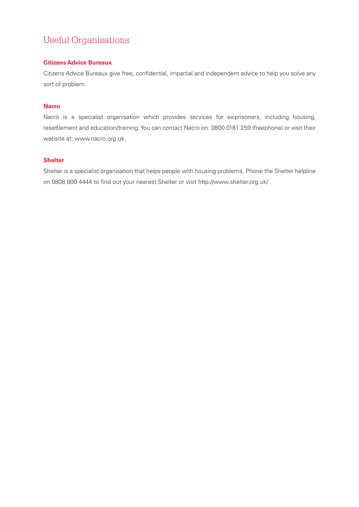# Useful Organisations

#### **Citizens Advice Bureaux**

Citizens Advice Bureaux give free, confidential, impartial and independent advice to help you solve any sort of problem.

#### **Nacro**

Nacro is a specialist organisation which provides services for ex-prisoners, including housing, resettlement and education/training. You can contact Nacro on: 0800 0181 259 (freephone) or visit their website at:<www.nacro.org.uk>.

#### **Shelter**

Shelter is a specialist organisation that helps people with housing problems. Phone the Shelter helpline on 0808 800 4444 to find out your nearest Shelter or visit [http://www.shelter.org.uk/](http://www.shelter.org.uk)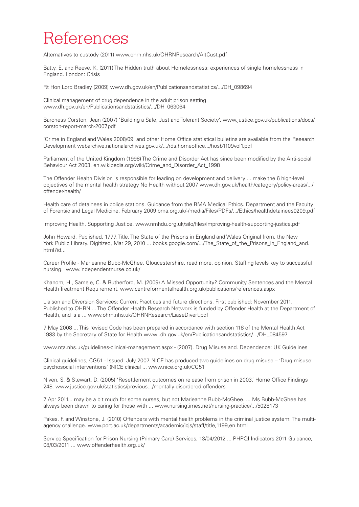# References

Alternatives to custody (2011)<www.ohrn.nhs.uk/OHRNResearch/AltCust.pdf>

Batty, E. and Reeve, K. (2011) The Hidden truth about Homelessness: experiences of single homelessness in England. London: Crisis

Rt Hon Lord Bradley (2009) <www.dh.gov.uk/en/Publicationsandstatistics>/.../DH\_098694

Clinical management of drug dependence in the adult prison setting <www.dh.gov.uk/en/Publicationsandstatistics>/.../DH\_063064

Baroness Corston, Jean (2007) 'Building a Safe, Just and Tolerant Society'. [www.justice.gov.uk/publications/docs/](www.justice.gov.uk/publications/docs/corston-report-march-2007.pdf) [corston-report-march-2007.pdf](www.justice.gov.uk/publications/docs/corston-report-march-2007.pdf)

'Crime in England and Wales 2008/09' and other Home Office statistical bulletins are available from the Research Development<webarchive.nationalarchives.gov.uk>/.../<rds.homeoffice>...[/hosb1109vol1.pdf](hosb1109vol1.pdf)

Parliament of the United Kingdom (1998) The Crime and Disorder Act has since been modified by the Anti-social Behaviour Act 2003. <en.wikipedia.org/wiki/Crime>\_and\_Disorder\_Act\_1998

The Offender Health Division is responsible for leading on development and delivery ... make the 6 high-level objectives of the mental health strategy No Health without 2007<www.dh.gov.uk/health/category/policy>-areas/.../ offender-health/

Health care of detainees in police stations. Guidance from the BMA Medical Ethics. Department and the Faculty of Forensic and Legal Medicine. February 2009 [bma.org.uk/-/media/Files/PDFs/](bma.org.uk/-/media/Files/PDFs).../Ethics[/healthdetainees0209.pdf](healthdetainees0209.pdf)

Improving Health, Supporting Justice. <www.nmhdu.org.uk/silo/files/improving-health-supporting-justice.pdf>

John Howard. Published, 1777. Title, The State of the Prisons in England and Wales Original from, the New York Public Library. Digitized, Mar 29, 2010 ... [books.google.com/](books.google.com).../The State of the Prisons in England and. [html](The_State_of_the_Prisons_in_England_and.html)?id...

Career Profile - Marieanne Bubb-McGhee, Gloucestershire. read more. opinion. Staffing levels key to successful nursing. <www.independentnurse.co.uk>/

Khanom, H., Samele, C. & Rutherford, M. (2009) A Missed Opportunity? Community Sentences and the Mental Health Treatment Requirement.<www.centreformentalhealth.org.uk/publications/references.aspx>

Liaison and Diversion Services: Current Practices and future directions. First published: November 2011. Published to OHRN ... The Offender Health Research Network is funded by Offender Health at the Department of Health, and is a ...<www.ohrn.nhs.uk/OHRNResearch/LiaseDivert.pdf>

7 May 2008 ... This revised Code has been prepared in accordance with section 118 of the Mental Health Act 1983 by the Secretary of State for Health www .<dh.gov.uk/en/Publicationsandstatistics>/.../DH\_084597

<www.nta.nhs.uk/guidelines-clinical-management.aspx>- (2007). Drug Misuse and. Dependence: UK Guidelines

Clinical guidelines, CG51 - Issued: July 2007. NICE has produced two guidelines on drug misuse – 'Drug misuse: psychosocial interventions' (NICE clinical ... [www.nice.org.uk/CG5](www.nice.org.uk/CG)1

Niven, S. & Stewart, D. (2005) 'Resettlement outcomes on release from prison in 2003.' Home Office Findings 248. [www.justice.gov.uk/statistics/previous.](www.justice.gov.uk/statistics/previous)../mentally-disordered-offenders

7 Apr 2011... may be a bit much for some nurses, but not Marieanne Bubb-McGhee. ... Ms Bubb-McGhee has always been drawn to caring for those with ... <www.nursingtimes.net/nursing>-practice/.../5028173

Pakes, F. and Winstone, J. (2010) Offenders with mental health problems in the criminal justice system: The multiagency challenge. [www.port.ac.uk/departments/academic/icjs/staff/title,](www.port.ac.uk/departments/academic/icjs/staff/title)1199[,en.html](en.html)

Service Specification for Prison Nursing (Primary Care) Services, 13/04/2012 ... PHPQI Indicators 2011 Guidance, 08/03/2011 ... [www.offenderhealth.org.uk/](www.offenderhealth.org.uk)